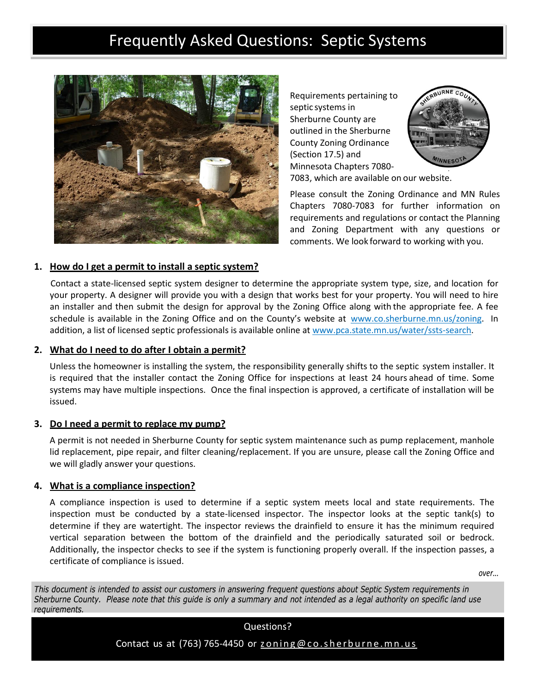# Frequently Asked Questions: Septic Systems



Requirements pertaining to septic systems in Sherburne County are outlined in the Sherburne County Zoning Ordinance (Section 17.5) and Minnesota Chapters 7080-



7083, which are available on our website.

Please consult the Zoning Ordinance and MN Rules Chapters 7080-7083 for further information on requirements and regulations or contact the Planning and Zoning Department with any questions or comments. We look forward to working with you.

## **1. How do I get a permit to install a septic system?**

Contact a state-licensed septic system designer to determine the appropriate system type, size, and location for your property. A designer will provide you with a design that works best for your property. You will need to hire an installer and then submit the design for approval by the Zoning Office along with the appropriate fee. A fee schedule is available in the Zoning Office and on the County's website at [www.co.sherburne.mn.us/zoning.](http://www.co.sherburne.mn.us/zoning) In addition, a list of licensed septic professionals is available online at www.pca.state.mn.us/water/ssts-search.

## **2. What do I need to do after I obtain a permit?**

Unless the homeowner is installing the system, the responsibility generally shifts to the septic system installer. It is required that the installer contact the Zoning Office for inspections at least 24 hours ahead of time. Some systems may have multiple inspections. Once the final inspection is approved, a certificate of installation will be issued.

## **3. Do I need a permit to replace my pump?**

A permit is not needed in Sherburne County for septic system maintenance such as pump replacement, manhole lid replacement, pipe repair, and filter cleaning/replacement. If you are unsure, please call the Zoning Office and we will gladly answer your questions.

## **4. What is a compliance inspection?**

A compliance inspection is used to determine if a septic system meets local and state requirements. The inspection must be conducted by a state-licensed inspector. The inspector looks at the septic tank(s) to determine if they are watertight. The inspector reviews the drainfield to ensure it has the minimum required vertical separation between the bottom of the drainfield and the periodically saturated soil or bedrock. Additionally, the inspector checks to see if the system is functioning properly overall. If the inspection passes, a certificate of compliance is issued.

*over...*

This document is intended to assist our customers in answering frequent questions about Septic System requirements in Sherburne County. Please note that this quide is only a summary and not intended as a legal authority on specific land use requirements.

Contact us at (763) 765-4450 or  $z$  oning @ co.sherburne.mn.us

Questions?